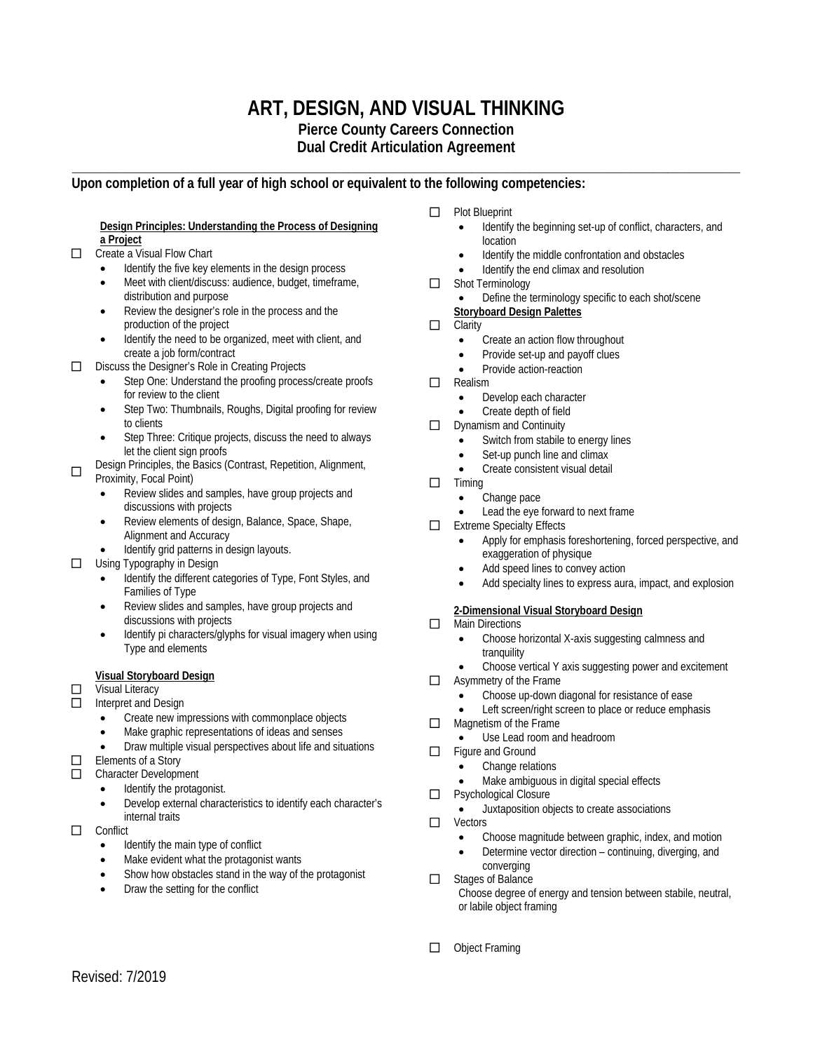# **ART, DESIGN, AND VISUAL THINKING**

**Pierce County Careers Connection**

**Dual Credit Articulation Agreement \_\_\_\_\_\_\_\_\_\_\_\_\_\_\_\_\_\_\_\_\_\_\_\_\_\_\_\_\_\_\_\_\_\_\_\_\_\_\_\_\_\_\_\_\_\_\_\_\_\_\_\_\_\_\_\_\_\_\_\_\_\_\_\_\_\_\_\_\_\_\_\_\_\_\_\_\_\_\_\_\_\_\_\_\_\_\_\_\_\_\_\_**

## **Upon completion of a full year of high school or equivalent to the following competencies:**

#### **Design Principles: Understanding the Process of Designing a Project**

### □ Create a Visual Flow Chart

- Identify the five key elements in the design process
- Meet with client/discuss: audience, budget, timeframe, distribution and purpose
- Review the designer's role in the process and the production of the project
- Identify the need to be organized, meet with client, and create a job form/contract
- D Discuss the Designer's Role in Creating Projects
	- Step One: Understand the proofing process/create proofs for review to the client
	- Step Two: Thumbnails, Roughs, Digital proofing for review to clients
	- Step Three: Critique projects, discuss the need to always let the client sign proofs
- Design Principles, the Basics (Contrast, Repetition, Alignment, Proximity, Focal Point)
	- Review slides and samples, have group projects and discussions with projects
	- Review elements of design, Balance, Space, Shape, Alignment and Accuracy
	- Identify grid patterns in design layouts.
- $\Box$  Using Typography in Design
	- Identify the different categories of Type, Font Styles, and Families of Type
	- Review slides and samples, have group projects and discussions with projects
	- Identify pi characters/glyphs for visual imagery when using Type and elements

### **Visual Storyboard Design**

**D** Visual Literacy

- Interpret and Design
	- Create new impressions with commonplace objects
	- Make graphic representations of ideas and senses
	- Draw multiple visual perspectives about life and situations

 $\Box$  Elements of a Story

- Character Development
	- Identify the protagonist.
	- Develop external characteristics to identify each character's internal traits
- $\Box$  Conflict
	- Identify the main type of conflict
	- Make evident what the protagonist wants
	- Show how obstacles stand in the way of the protagonist
	- Draw the setting for the conflict
- **D** Plot Blueprint
	- Identify the beginning set-up of conflict, characters, and location
	- Identify the middle confrontation and obstacles
	- Identify the end climax and resolution
- Shot Terminology
	- Define the terminology specific to each shot/scene
- **Storyboard Design Palettes**
- $\Box$  Clarity
	- Create an action flow throughout
	- Provide set-up and payoff clues
	- Provide action-reaction
- $\Box$  Realism
	- Develop each character
	- Create depth of field
- $\Box$  Dynamism and Continuity
	- Switch from stabile to energy lines
	- Set-up punch line and climax
	- Create consistent visual detail
- $\Box$  Timing
	- Change pace
	- Lead the eye forward to next frame
- $\Box$  Extreme Specialty Effects
	- Apply for emphasis foreshortening, forced perspective, and exaggeration of physique
	- Add speed lines to convey action
	- Add specialty lines to express aura, impact, and explosion

### **2-Dimensional Visual Storyboard Design**

- **D** Main Directions
	- Choose horizontal X-axis suggesting calmness and tranquility
	- Choose vertical Y axis suggesting power and excitement
- □ Asymmetry of the Frame
	- Choose up-down diagonal for resistance of ease
	- Left screen/right screen to place or reduce emphasis
- $\Box$  Magnetism of the Frame
	- Use Lead room and headroom
- Figure and Ground
	- Change relations
	- Make ambiguous in digital special effects
- □ Psychological Closure
	- Juxtaposition objects to create associations
- □ Vectors
	- Choose magnitude between graphic, index, and motion
	- Determine vector direction continuing, diverging, and converging
- □ Stages of Balance Choose degree of energy and tension between stabile, neutral, or labile object framing
- **D** Object Framing